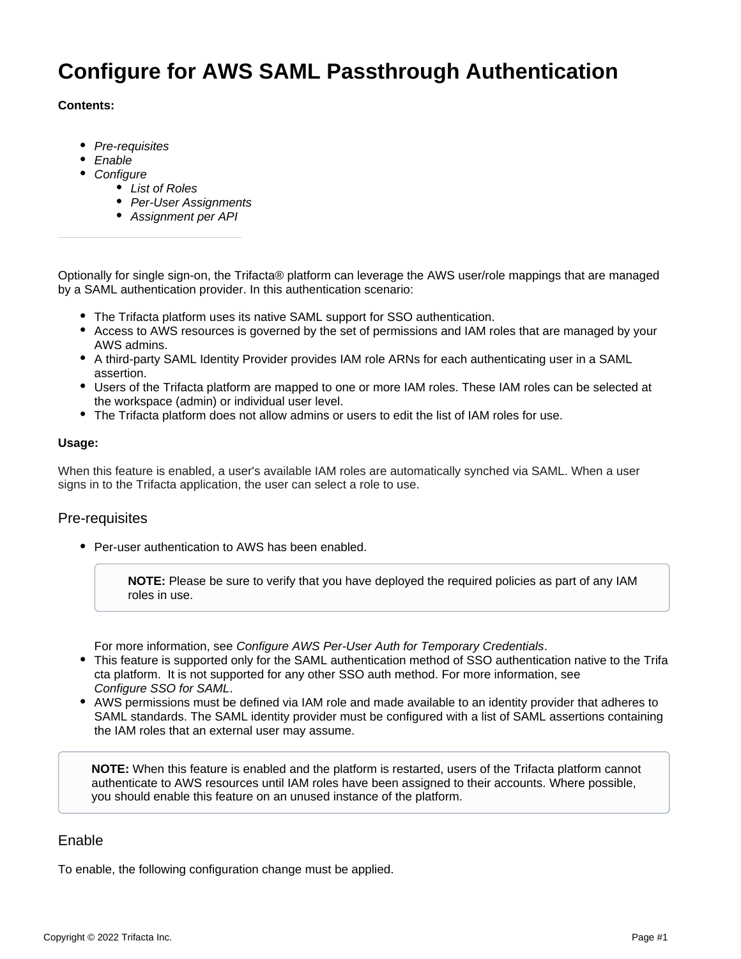# **Configure for AWS SAML Passthrough Authentication**

## **Contents:**

- [Pre-requisites](#page-0-0)
- [Enable](#page-0-1)
- [Configure](#page-1-0)
	- [List of Roles](#page-1-1)
	- [Per-User Assignments](#page-1-2)
	- [Assignment per API](#page-1-3)

Optionally for single sign-on, the Trifacta® platform can leverage the AWS user/role mappings that are managed by a SAML authentication provider. In this authentication scenario:

- The Trifacta platform uses its native SAML support for SSO authentication.
- Access to AWS resources is governed by the set of permissions and IAM roles that are managed by your AWS admins.
- A third-party SAML Identity Provider provides IAM role ARNs for each authenticating user in a SAML assertion.
- Users of the Trifacta platform are mapped to one or more IAM roles. These IAM roles can be selected at the workspace (admin) or individual user level.
- The Trifacta platform does not allow admins or users to edit the list of IAM roles for use.

## **Usage:**

When this feature is enabled, a user's available IAM roles are automatically synched via SAML. When a user signs in to the Trifacta application, the user can select a role to use.

# <span id="page-0-0"></span>Pre-requisites

• Per-user authentication to AWS has been enabled.

**NOTE:** Please be sure to verify that you have deployed the required policies as part of any IAM roles in use.

For more information, see [Configure AWS Per-User Auth for Temporary Credentials](https://docs.trifacta.com/display/r082/Configure+AWS+Per-User+Auth+for+Temporary+Credentials).

- This feature is supported only for the SAML authentication method of SSO authentication native to the Trifa cta platform. It is not supported for any other SSO auth method. For more information, see [Configure SSO for SAML](https://docs.trifacta.com/display/r082/Configure+SSO+for+SAML).
- AWS permissions must be defined via IAM role and made available to an identity provider that adheres to SAML standards. The SAML identity provider must be configured with a list of SAML assertions containing the IAM roles that an external user may assume.

**NOTE:** When this feature is enabled and the platform is restarted, users of the Trifacta platform cannot authenticate to AWS resources until IAM roles have been assigned to their accounts. Where possible, you should enable this feature on an unused instance of the platform.

# <span id="page-0-1"></span>Enable

To enable, the following configuration change must be applied.